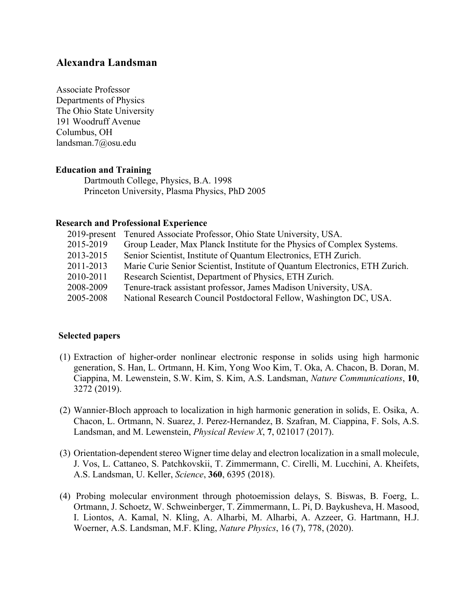# **Alexandra Landsman**

Associate Professor Departments of Physics The Ohio State University 191 Woodruff Avenue Columbus, OH landsman.7@osu.edu

### **Education and Training**

Dartmouth College, Physics, B.A. 1998 Princeton University, Plasma Physics, PhD 2005

### **Research and Professional Experience**

|           | 2019-present Tenured Associate Professor, Ohio State University, USA.       |
|-----------|-----------------------------------------------------------------------------|
| 2015-2019 | Group Leader, Max Planck Institute for the Physics of Complex Systems.      |
| 2013-2015 | Senior Scientist, Institute of Quantum Electronics, ETH Zurich.             |
| 2011-2013 | Marie Curie Senior Scientist, Institute of Quantum Electronics, ETH Zurich. |
| 2010-2011 | Research Scientist, Department of Physics, ETH Zurich.                      |
| 2008-2009 | Tenure-track assistant professor, James Madison University, USA.            |
| 2005-2008 | National Research Council Postdoctoral Fellow, Washington DC, USA.          |

## **Selected papers**

- (1) Extraction of higher-order nonlinear electronic response in solids using high harmonic generation, S. Han, L. Ortmann, H. Kim, Yong Woo Kim, T. Oka, A. Chacon, B. Doran, M. Ciappina, M. Lewenstein, S.W. Kim, S. Kim, A.S. Landsman, *Nature Communications*, **10**, 3272 (2019).
- (2) Wannier-Bloch approach to localization in high harmonic generation in solids, E. Osika, A. Chacon, L. Ortmann, N. Suarez, J. Perez-Hernandez, B. Szafran, M. Ciappina, F. Sols, A.S. Landsman, and M. Lewenstein, *Physical Review X*, **7**, 021017 (2017).
- (3) Orientation-dependent stereo Wigner time delay and electron localization in a small molecule, J. Vos, L. Cattaneo, S. Patchkovskii, T. Zimmermann, C. Cirelli, M. Lucchini, A. Kheifets, A.S. Landsman, U. Keller, *Science*, **360**, 6395 (2018).
- (4) Probing molecular environment through photoemission delays, S. Biswas, B. Foerg, L. Ortmann, J. Schoetz, W. Schweinberger, T. Zimmermann, L. Pi, D. Baykusheva, H. Masood, I. Liontos, A. Kamal, N. Kling, A. Alharbi, M. Alharbi, A. Azzeer, G. Hartmann, H.J. Woerner, A.S. Landsman, M.F. Kling, *Nature Physics*, 16 (7), 778, (2020).